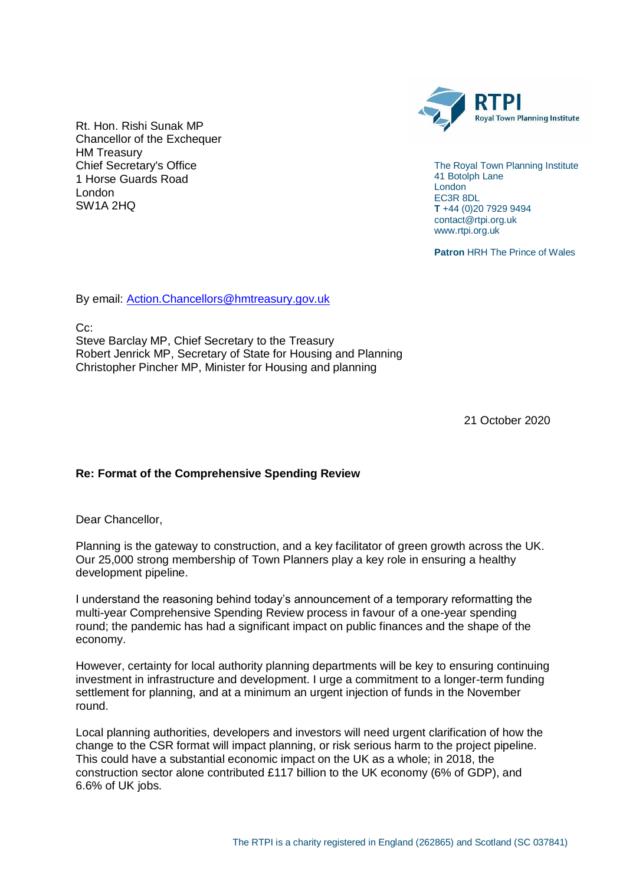

The Royal Town Planning Institute 41 Botolph Lane London EC3R 8DL **T** +44 (0)20 7929 9494 contact@rtpi.org.uk www.rtpi.org.uk

**Patron** HRH The Prince of Wales

Rt. Hon. Rishi Sunak MP Chancellor of the Exchequer HM Treasury Chief Secretary's Office 1 Horse Guards Road London SW1A 2HQ

By email: [Action.Chancellors@hmtreasury.gov.uk](mailto:Action.Chancellors@hmtreasury.gov.uk)

C<sub>c</sub>:

Steve Barclay MP, Chief Secretary to the Treasury Robert Jenrick MP, Secretary of State for Housing and Planning Christopher Pincher MP, Minister for Housing and planning

21 October 2020

## **Re: Format of the Comprehensive Spending Review**

Dear Chancellor,

Planning is the gateway to construction, and a key facilitator of green growth across the UK. Our 25,000 strong membership of Town Planners play a key role in ensuring a healthy development pipeline.

I understand the reasoning behind today's announcement of a temporary reformatting the multi-year Comprehensive Spending Review process in favour of a one-year spending round; the pandemic has had a significant impact on public finances and the shape of the economy.

However, certainty for local authority planning departments will be key to ensuring continuing investment in infrastructure and development. I urge a commitment to a longer-term funding settlement for planning, and at a minimum an urgent injection of funds in the November round.

Local planning authorities, developers and investors will need urgent clarification of how the change to the CSR format will impact planning, or risk serious harm to the project pipeline. This could have a substantial economic impact on the UK as a whole; in 2018, the construction sector alone contributed £117 billion to the UK economy (6% of GDP), and 6.6% of UK jobs.